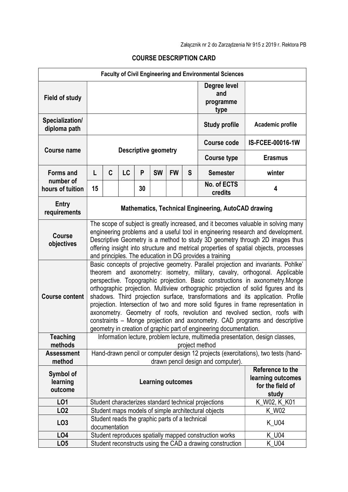| <b>Faculty of Civil Engineering and Environmental Sciences</b> |                                                                                                                                                                                                                                                                                                                                                                                                           |                                                                                                                                                                                                                                                                                                                                                                                                                                                                                                                                                                                                                                                                                                                                                      |    |       |                                                                    |           |   |                                                           |                  |
|----------------------------------------------------------------|-----------------------------------------------------------------------------------------------------------------------------------------------------------------------------------------------------------------------------------------------------------------------------------------------------------------------------------------------------------------------------------------------------------|------------------------------------------------------------------------------------------------------------------------------------------------------------------------------------------------------------------------------------------------------------------------------------------------------------------------------------------------------------------------------------------------------------------------------------------------------------------------------------------------------------------------------------------------------------------------------------------------------------------------------------------------------------------------------------------------------------------------------------------------------|----|-------|--------------------------------------------------------------------|-----------|---|-----------------------------------------------------------|------------------|
| <b>Field of study</b>                                          |                                                                                                                                                                                                                                                                                                                                                                                                           |                                                                                                                                                                                                                                                                                                                                                                                                                                                                                                                                                                                                                                                                                                                                                      |    |       |                                                                    |           |   | Degree level<br>and<br>programme<br>type                  |                  |
| Specialization/<br>diploma path                                |                                                                                                                                                                                                                                                                                                                                                                                                           |                                                                                                                                                                                                                                                                                                                                                                                                                                                                                                                                                                                                                                                                                                                                                      |    |       |                                                                    |           |   | <b>Study profile</b>                                      | Academic profile |
| <b>Course name</b>                                             | <b>Descriptive geometry</b>                                                                                                                                                                                                                                                                                                                                                                               |                                                                                                                                                                                                                                                                                                                                                                                                                                                                                                                                                                                                                                                                                                                                                      |    |       |                                                                    |           |   | <b>Course code</b>                                        | IS-FCEE-00016-1W |
|                                                                |                                                                                                                                                                                                                                                                                                                                                                                                           |                                                                                                                                                                                                                                                                                                                                                                                                                                                                                                                                                                                                                                                                                                                                                      |    |       |                                                                    |           |   | <b>Course type</b>                                        | <b>Erasmus</b>   |
| <b>Forms and</b><br>number of<br>hours of tuition              | L                                                                                                                                                                                                                                                                                                                                                                                                         | C                                                                                                                                                                                                                                                                                                                                                                                                                                                                                                                                                                                                                                                                                                                                                    | LC | P     | <b>SW</b>                                                          | <b>FW</b> | S | <b>Semester</b>                                           | winter           |
|                                                                | 15                                                                                                                                                                                                                                                                                                                                                                                                        |                                                                                                                                                                                                                                                                                                                                                                                                                                                                                                                                                                                                                                                                                                                                                      |    | 30    |                                                                    |           |   | No. of ECTS<br>credits                                    | 4                |
| <b>Entry</b><br>requirements                                   | Mathematics, Technical Engineering, AutoCAD drawing                                                                                                                                                                                                                                                                                                                                                       |                                                                                                                                                                                                                                                                                                                                                                                                                                                                                                                                                                                                                                                                                                                                                      |    |       |                                                                    |           |   |                                                           |                  |
| <b>Course</b><br>objectives                                    | The scope of subject is greatly increased, and it becomes valuable in solving many<br>engineering problems and a useful tool in engineering research and development.<br>Descriptive Geometry is a method to study 3D geometry through 2D images thus<br>offering insight into structure and metrical properties of spatial objects, processes<br>and principles. The education in DG provides a training |                                                                                                                                                                                                                                                                                                                                                                                                                                                                                                                                                                                                                                                                                                                                                      |    |       |                                                                    |           |   |                                                           |                  |
| <b>Course content</b>                                          |                                                                                                                                                                                                                                                                                                                                                                                                           | Basic concepts of projective geometry. Parallel projection and invariants. Pohlke'<br>theorem and axonometry: isometry, military, cavalry, orthogonal. Applicable<br>perspective. Topographic projection. Basic constructions in axonometry. Monge<br>orthographic projection. Multiview orthographic projection of solid figures and its<br>shadows. Third projection surface, transformations and its application. Profile<br>projection. Intersection of two and more solid figures in frame representation in<br>axonometry. Geometry of roofs, revolution and revolved section, roofs with<br>constraints – Monge projection and axonometry. CAD programs and descriptive<br>geometry in creation of graphic part of engineering documentation. |    |       |                                                                    |           |   |                                                           |                  |
| <b>Teaching</b><br>methods                                     | Information lecture, problem lecture, multimedia presentation, design classes,                                                                                                                                                                                                                                                                                                                            |                                                                                                                                                                                                                                                                                                                                                                                                                                                                                                                                                                                                                                                                                                                                                      |    |       |                                                                    |           |   |                                                           |                  |
| <b>Assessment</b><br>method                                    | project method<br>Hand-drawn pencil or computer design 12 projects (exercitations), two tests (hand-<br>drawn pencil design and computer).                                                                                                                                                                                                                                                                |                                                                                                                                                                                                                                                                                                                                                                                                                                                                                                                                                                                                                                                                                                                                                      |    |       |                                                                    |           |   |                                                           |                  |
| Symbol of<br>learning<br>outcome                               | <b>Learning outcomes</b>                                                                                                                                                                                                                                                                                                                                                                                  |                                                                                                                                                                                                                                                                                                                                                                                                                                                                                                                                                                                                                                                                                                                                                      |    |       | Reference to the<br>learning outcomes<br>for the field of<br>study |           |   |                                                           |                  |
| LO1                                                            |                                                                                                                                                                                                                                                                                                                                                                                                           |                                                                                                                                                                                                                                                                                                                                                                                                                                                                                                                                                                                                                                                                                                                                                      |    |       |                                                                    |           |   | Student characterizes standard technical projections      | K_W02, K_K01     |
| LO <sub>2</sub>                                                |                                                                                                                                                                                                                                                                                                                                                                                                           |                                                                                                                                                                                                                                                                                                                                                                                                                                                                                                                                                                                                                                                                                                                                                      |    |       |                                                                    |           |   | Student maps models of simple architectural objects       | K_W02            |
| LO <sub>3</sub>                                                | Student reads the graphic parts of a technical<br>documentation                                                                                                                                                                                                                                                                                                                                           |                                                                                                                                                                                                                                                                                                                                                                                                                                                                                                                                                                                                                                                                                                                                                      |    | K_U04 |                                                                    |           |   |                                                           |                  |
| <b>LO4</b>                                                     |                                                                                                                                                                                                                                                                                                                                                                                                           |                                                                                                                                                                                                                                                                                                                                                                                                                                                                                                                                                                                                                                                                                                                                                      |    |       |                                                                    |           |   | Student reproduces spatially mapped construction works    | K U04            |
| LO <sub>5</sub>                                                |                                                                                                                                                                                                                                                                                                                                                                                                           |                                                                                                                                                                                                                                                                                                                                                                                                                                                                                                                                                                                                                                                                                                                                                      |    |       |                                                                    |           |   | Student reconstructs using the CAD a drawing construction | <b>K_U04</b>     |

## COURSE DESCRIPTION CARD